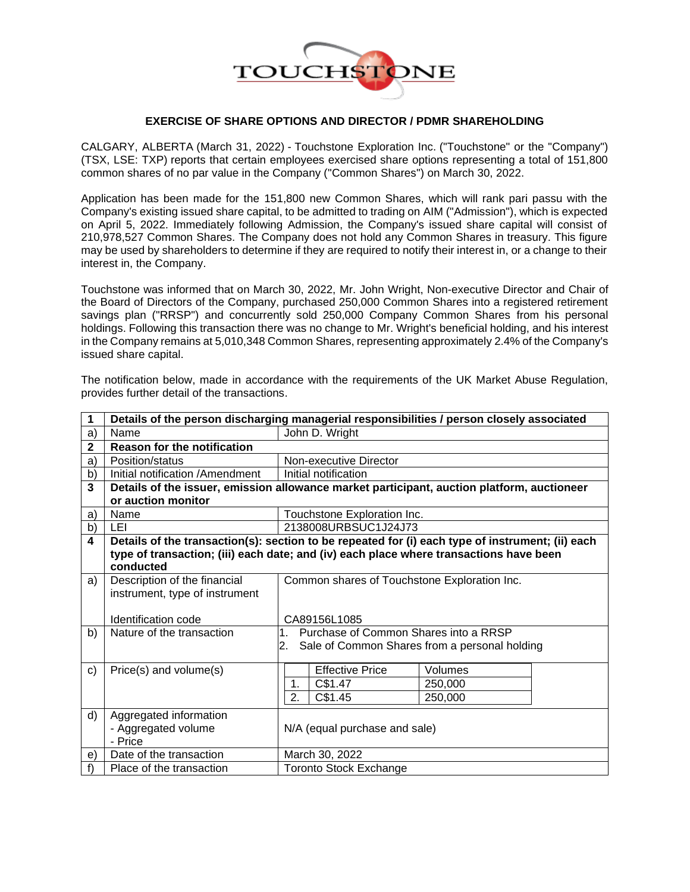

## **EXERCISE OF SHARE OPTIONS AND DIRECTOR / PDMR SHAREHOLDING**

CALGARY, ALBERTA (March 31, 2022) - Touchstone Exploration Inc. ("Touchstone" or the "Company") (TSX, LSE: TXP) reports that certain employees exercised share options representing a total of 151,800 common shares of no par value in the Company ("Common Shares") on March 30, 2022.

Application has been made for the 151,800 new Common Shares, which will rank pari passu with the Company's existing issued share capital, to be admitted to trading on AIM ("Admission"), which is expected on April 5, 2022. Immediately following Admission, the Company's issued share capital will consist of 210,978,527 Common Shares. The Company does not hold any Common Shares in treasury. This figure may be used by shareholders to determine if they are required to notify their interest in, or a change to their interest in, the Company.

Touchstone was informed that on March 30, 2022, Mr. John Wright, Non-executive Director and Chair of the Board of Directors of the Company, purchased 250,000 Common Shares into a registered retirement savings plan ("RRSP") and concurrently sold 250,000 Company Common Shares from his personal holdings. Following this transaction there was no change to Mr. Wright's beneficial holding, and his interest in the Company remains at 5,010,348 Common Shares, representing approximately 2.4% of the Company's issued share capital.

| 1            | Details of the person discharging managerial responsibilities / person closely associated        |                                                                                            |  |  |
|--------------|--------------------------------------------------------------------------------------------------|--------------------------------------------------------------------------------------------|--|--|
| a)           | Name                                                                                             | John D. Wright                                                                             |  |  |
| 2            | <b>Reason for the notification</b>                                                               |                                                                                            |  |  |
| a)           | Position/status                                                                                  | Non-executive Director                                                                     |  |  |
| b)           | Initial notification /Amendment                                                                  | Initial notification                                                                       |  |  |
| 3            |                                                                                                  | Details of the issuer, emission allowance market participant, auction platform, auctioneer |  |  |
|              | or auction monitor                                                                               |                                                                                            |  |  |
| a)           | Name                                                                                             | Touchstone Exploration Inc.                                                                |  |  |
| b)           | LEI                                                                                              | 2138008URBSUC1J24J73                                                                       |  |  |
| 4            | Details of the transaction(s): section to be repeated for (i) each type of instrument; (ii) each |                                                                                            |  |  |
|              | type of transaction; (iii) each date; and (iv) each place where transactions have been           |                                                                                            |  |  |
|              | conducted                                                                                        |                                                                                            |  |  |
| a)           | Description of the financial                                                                     | Common shares of Touchstone Exploration Inc.                                               |  |  |
|              | instrument, type of instrument                                                                   |                                                                                            |  |  |
|              |                                                                                                  |                                                                                            |  |  |
|              | Identification code                                                                              | CA89156L1085                                                                               |  |  |
| b)           | Nature of the transaction                                                                        | Purchase of Common Shares into a RRSP<br>$1_{-}$                                           |  |  |
|              |                                                                                                  | Sale of Common Shares from a personal holding<br>2.                                        |  |  |
| $\mathbf{C}$ | Price(s) and volume(s)                                                                           | <b>Effective Price</b><br>Volumes                                                          |  |  |
|              |                                                                                                  | C\$1.47<br>1.<br>250,000                                                                   |  |  |
|              |                                                                                                  | 2.<br>C\$1.45<br>250,000                                                                   |  |  |
|              |                                                                                                  |                                                                                            |  |  |
| d)           | Aggregated information                                                                           |                                                                                            |  |  |
|              | - Aggregated volume                                                                              | N/A (equal purchase and sale)                                                              |  |  |
|              | - Price                                                                                          |                                                                                            |  |  |
| e)           | Date of the transaction                                                                          | March 30, 2022                                                                             |  |  |
| f            | Place of the transaction                                                                         | <b>Toronto Stock Exchange</b>                                                              |  |  |

The notification below, made in accordance with the requirements of the UK Market Abuse Regulation, provides further detail of the transactions.